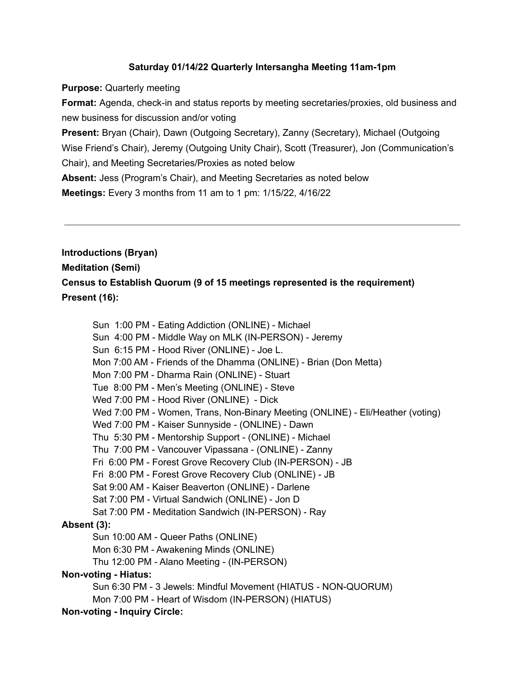### **Saturday 01/14/22 Quarterly Intersangha Meeting 11am-1pm**

**Purpose:** Quarterly meeting

**Format:** Agenda, check-in and status reports by meeting secretaries/proxies, old business and new business for discussion and/or voting

**Present:** Bryan (Chair), Dawn (Outgoing Secretary), Zanny (Secretary), Michael (Outgoing Wise Friend's Chair), Jeremy (Outgoing Unity Chair), Scott (Treasurer), Jon (Communication's Chair), and Meeting Secretaries/Proxies as noted below

**Absent:** Jess (Program's Chair), and Meeting Secretaries as noted below

**Meetings:** Every 3 months from 11 am to 1 pm: 1/15/22, 4/16/22

**Introductions (Bryan) Meditation (Semi) Census to Establish Quorum (9 of 15 meetings represented is the requirement) Present (16):**

Sun 1:00 PM - Eating Addiction (ONLINE) - Michael Sun 4:00 PM - Middle Way on MLK (IN-PERSON) - Jeremy Sun 6:15 PM - Hood River (ONLINE) - Joe L. Mon 7:00 AM - Friends of the Dhamma (ONLINE) - Brian (Don Metta) Mon 7:00 PM - Dharma Rain (ONLINE) - Stuart Tue 8:00 PM - Men's Meeting (ONLINE) - Steve Wed 7:00 PM - Hood River (ONLINE) - Dick Wed 7:00 PM - Women, Trans, Non-Binary Meeting (ONLINE) - Eli/Heather (voting) Wed 7:00 PM - Kaiser Sunnyside - (ONLINE) - Dawn Thu 5:30 PM - Mentorship Support - (ONLINE) - Michael Thu 7:00 PM - Vancouver Vipassana - (ONLINE) - Zanny Fri 6:00 PM - Forest Grove Recovery Club (IN-PERSON) - JB Fri 8:00 PM - Forest Grove Recovery Club (ONLINE) - JB Sat 9:00 AM - Kaiser Beaverton (ONLINE) - Darlene Sat 7:00 PM - Virtual Sandwich (ONLINE) - Jon D Sat 7:00 PM - Meditation Sandwich (IN-PERSON) - Ray **Absent (3):** Sun 10:00 AM - Queer Paths (ONLINE) Mon 6:30 PM - Awakening Minds (ONLINE) Thu 12:00 PM - Alano Meeting - (IN-PERSON) **Non-voting - Hiatus:** Sun 6:30 PM - 3 Jewels: Mindful Movement (HIATUS - NON-QUORUM)

Mon 7:00 PM - Heart of Wisdom (IN-PERSON) (HIATUS)

**Non-voting - Inquiry Circle:**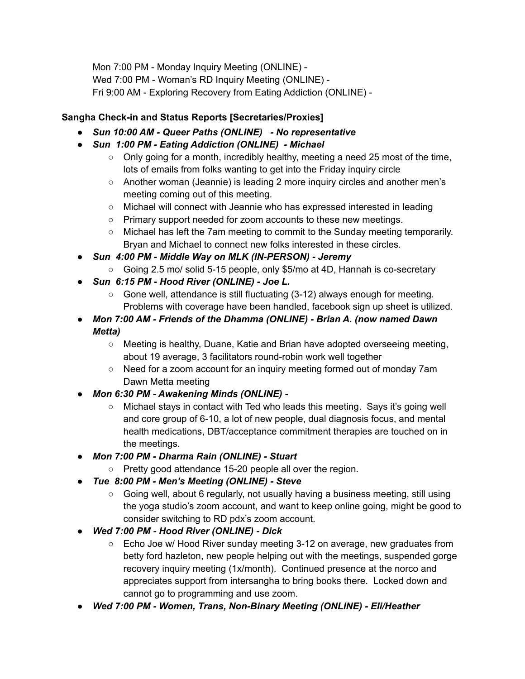Mon 7:00 PM - Monday Inquiry Meeting (ONLINE) - Wed 7:00 PM - Woman's RD Inquiry Meeting (ONLINE) - Fri 9:00 AM - Exploring Recovery from Eating Addiction (ONLINE) -

## **Sangha Check-in and Status Reports [Secretaries/Proxies]**

- *● Sun 10:00 AM - Queer Paths (ONLINE) - No representative*
- *● Sun 1:00 PM - Eating Addiction (ONLINE) - Michael*
	- $\circ$  Only going for a month, incredibly healthy, meeting a need 25 most of the time, lots of emails from folks wanting to get into the Friday inquiry circle
	- Another woman (Jeannie) is leading 2 more inquiry circles and another men's meeting coming out of this meeting.
	- Michael will connect with Jeannie who has expressed interested in leading
	- Primary support needed for zoom accounts to these new meetings.
	- Michael has left the 7am meeting to commit to the Sunday meeting temporarily. Bryan and Michael to connect new folks interested in these circles.
- *● Sun 4:00 PM - Middle Way on MLK (IN-PERSON) - Jeremy*
	- Going 2.5 mo/ solid 5-15 people, only \$5/mo at 4D, Hannah is co-secretary
- *● Sun 6:15 PM - Hood River (ONLINE) - Joe L.*
	- $\circ$  Gone well, attendance is still fluctuating (3-12) always enough for meeting. Problems with coverage have been handled, facebook sign up sheet is utilized.
- *● Mon 7:00 AM - Friends of the Dhamma (ONLINE) - Brian A. (now named Dawn Metta)*
	- Meeting is healthy, Duane, Katie and Brian have adopted overseeing meeting, about 19 average, 3 facilitators round-robin work well together
	- Need for a zoom account for an inquiry meeting formed out of monday 7am Dawn Metta meeting
- *● Mon 6:30 PM - Awakening Minds (ONLINE) -*
	- Michael stays in contact with Ted who leads this meeting. Says it's going well and core group of 6-10, a lot of new people, dual diagnosis focus, and mental health medications, DBT/acceptance commitment therapies are touched on in the meetings.
- *● Mon 7:00 PM - Dharma Rain (ONLINE) - Stuart*
	- Pretty good attendance 15-20 people all over the region.
- *● Tue 8:00 PM - Men's Meeting (ONLINE) - Steve*
	- $\circ$  Going well, about 6 regularly, not usually having a business meeting, still using the yoga studio's zoom account, and want to keep online going, might be good to consider switching to RD pdx's zoom account.
- *● Wed 7:00 PM - Hood River (ONLINE) - Dick*
	- Echo Joe w/ Hood River sunday meeting 3-12 on average, new graduates from betty ford hazleton, new people helping out with the meetings, suspended gorge recovery inquiry meeting (1x/month). Continued presence at the norco and appreciates support from intersangha to bring books there. Locked down and cannot go to programming and use zoom.
- *● Wed 7:00 PM - Women, Trans, Non-Binary Meeting (ONLINE) - Eli/Heather*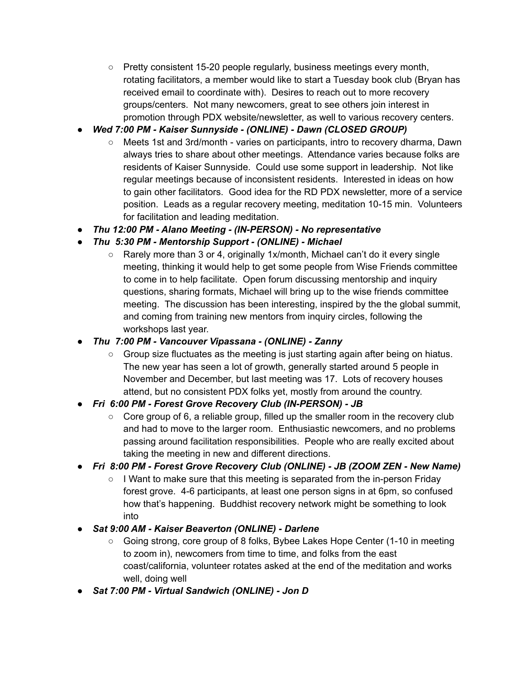- Pretty consistent 15-20 people regularly, business meetings every month, rotating facilitators, a member would like to start a Tuesday book club (Bryan has received email to coordinate with). Desires to reach out to more recovery groups/centers. Not many newcomers, great to see others join interest in promotion through PDX website/newsletter, as well to various recovery centers.
- *● Wed 7:00 PM - Kaiser Sunnyside - (ONLINE) - Dawn (CLOSED GROUP)*
	- Meets 1st and 3rd/month varies on participants, intro to recovery dharma, Dawn always tries to share about other meetings. Attendance varies because folks are residents of Kaiser Sunnyside. Could use some support in leadership. Not like regular meetings because of inconsistent residents. Interested in ideas on how to gain other facilitators. Good idea for the RD PDX newsletter, more of a service position. Leads as a regular recovery meeting, meditation 10-15 min. Volunteers for facilitation and leading meditation.
- *● Thu 12:00 PM - Alano Meeting - (IN-PERSON) - No representative*
- *● Thu 5:30 PM - Mentorship Support - (ONLINE) - Michael*
	- Rarely more than 3 or 4, originally 1x/month, Michael can't do it every single meeting, thinking it would help to get some people from Wise Friends committee to come in to help facilitate. Open forum discussing mentorship and inquiry questions, sharing formats, Michael will bring up to the wise friends committee meeting. The discussion has been interesting, inspired by the the global summit, and coming from training new mentors from inquiry circles, following the workshops last year.
- *● Thu 7:00 PM - Vancouver Vipassana - (ONLINE) - Zanny*
	- Group size fluctuates as the meeting is just starting again after being on hiatus. The new year has seen a lot of growth, generally started around 5 people in November and December, but last meeting was 17. Lots of recovery houses attend, but no consistent PDX folks yet, mostly from around the country.
- *● Fri 6:00 PM - Forest Grove Recovery Club (IN-PERSON) - JB*
	- Core group of 6, a reliable group, filled up the smaller room in the recovery club and had to move to the larger room. Enthusiastic newcomers, and no problems passing around facilitation responsibilities. People who are really excited about taking the meeting in new and different directions.
- *● Fri 8:00 PM - Forest Grove Recovery Club (ONLINE) - JB (ZOOM ZEN - New Name)*
	- I Want to make sure that this meeting is separated from the in-person Friday forest grove. 4-6 participants, at least one person signs in at 6pm, so confused how that's happening. Buddhist recovery network might be something to look into
- *● Sat 9:00 AM - Kaiser Beaverton (ONLINE) - Darlene*
	- Going strong, core group of 8 folks, Bybee Lakes Hope Center (1-10 in meeting to zoom in), newcomers from time to time, and folks from the east coast/california, volunteer rotates asked at the end of the meditation and works well, doing well
- *● Sat 7:00 PM - Virtual Sandwich (ONLINE) - Jon D*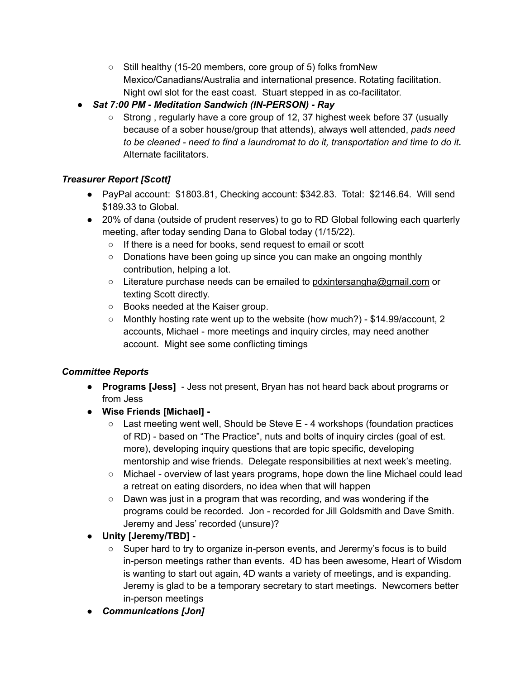- Still healthy (15-20 members, core group of 5) folks fromNew Mexico/Canadians/Australia and international presence. Rotating facilitation. Night owl slot for the east coast. Stuart stepped in as co-facilitator.
- *● Sat 7:00 PM - Meditation Sandwich (IN-PERSON) - Ray*
	- Strong, regularly have a core group of 12, 37 highest week before 37 (usually because of a sober house/group that attends), always well attended, *pads need to be cleaned - need to find a laundromat to do it, transportation and time to do it.* Alternate facilitators.

# *Treasurer Report [Scott]*

- PayPal account: \$1803.81, Checking account: \$342.83. Total: \$2146.64. Will send \$189.33 to Global.
- 20% of dana (outside of prudent reserves) to go to RD Global following each quarterly meeting, after today sending Dana to Global today (1/15/22).
	- If there is a need for books, send request to email or scott
	- Donations have been going up since you can make an ongoing monthly contribution, helping a lot.
	- Literature purchase needs can be emailed to [pdxintersangha@gmail.com](mailto:pdxintersangha@gmail.com) or texting Scott directly.
	- Books needed at the Kaiser group.
	- Monthly hosting rate went up to the website (how much?) \$14.99/account, 2 accounts, Michael - more meetings and inquiry circles, may need another account. Might see some conflicting timings

# *Committee Reports*

- **Programs [Jess]** Jess not present, Bryan has not heard back about programs or from Jess
- **Wise Friends [Michael] -**
	- Last meeting went well, Should be Steve E 4 workshops (foundation practices of RD) - based on "The Practice", nuts and bolts of inquiry circles (goal of est. more), developing inquiry questions that are topic specific, developing mentorship and wise friends. Delegate responsibilities at next week's meeting.
	- Michael overview of last years programs, hope down the line Michael could lead a retreat on eating disorders, no idea when that will happen
	- $\circ$  Dawn was just in a program that was recording, and was wondering if the programs could be recorded. Jon - recorded for Jill Goldsmith and Dave Smith. Jeremy and Jess' recorded (unsure)?
- **Unity [Jeremy/TBD] -**
	- Super hard to try to organize in-person events, and Jerermy's focus is to build in-person meetings rather than events. 4D has been awesome, Heart of Wisdom is wanting to start out again, 4D wants a variety of meetings, and is expanding. Jeremy is glad to be a temporary secretary to start meetings. Newcomers better in-person meetings
- *● Communications [Jon]*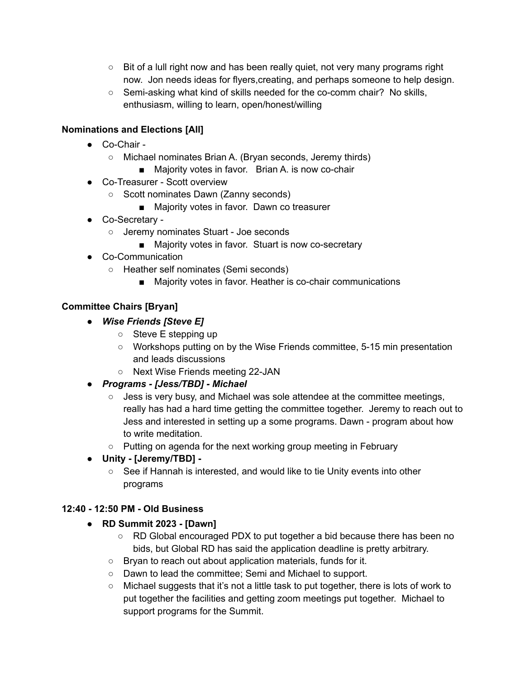- $\circ$  Bit of a lull right now and has been really quiet, not very many programs right now. Jon needs ideas for flyers,creating, and perhaps someone to help design.
- Semi-asking what kind of skills needed for the co-comm chair? No skills, enthusiasm, willing to learn, open/honest/willing

## **Nominations and Elections [All]**

- Co-Chair
	- Michael nominates Brian A. (Bryan seconds, Jeremy thirds)
		- Majority votes in favor. Brian A. is now co-chair
- Co-Treasurer Scott overview
	- Scott nominates Dawn (Zanny seconds)
		- Majority votes in favor. Dawn co treasurer
- Co-Secretary
	- Jeremy nominates Stuart Joe seconds
		- Majority votes in favor. Stuart is now co-secretary
- Co-Communication
	- Heather self nominates (Semi seconds)
		- Majority votes in favor. Heather is co-chair communications

## **Committee Chairs [Bryan]**

- *● Wise Friends [Steve E]*
	- Steve E stepping up
	- Workshops putting on by the Wise Friends committee, 5-15 min presentation and leads discussions
	- Next Wise Friends meeting 22-JAN
- *● Programs - [Jess/TBD] - Michael*
	- $\circ$  Jess is very busy, and Michael was sole attendee at the committee meetings, really has had a hard time getting the committee together. Jeremy to reach out to Jess and interested in setting up a some programs. Dawn - program about how to write meditation.
	- Putting on agenda for the next working group meeting in February
- **Unity - [Jeremy/TBD] -**
	- See if Hannah is interested, and would like to tie Unity events into other programs

### **12:40 - 12:50 PM - Old Business**

- **RD Summit 2023 - [Dawn]**
	- RD Global encouraged PDX to put together a bid because there has been no bids, but Global RD has said the application deadline is pretty arbitrary.
	- Bryan to reach out about application materials, funds for it.
	- Dawn to lead the committee; Semi and Michael to support.
	- Michael suggests that it's not a little task to put together, there is lots of work to put together the facilities and getting zoom meetings put together. Michael to support programs for the Summit.